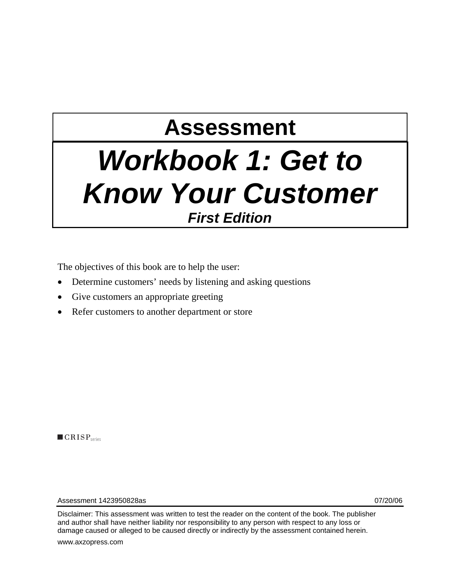# **Assessment**

## *Workbook 1: Get to Know Your Customer First Edition*

The objectives of this book are to help the user:

- Determine customers' needs by listening and asking questions
- Give customers an appropriate greeting
- Refer customers to another department or store

 $\blacksquare$  CRISP<sub>series</sub>

Assessment 1423950828as 07/20/06

Disclaimer: This assessment was written to test the reader on the content of the book. The publisher and author shall have neither liability nor responsibility to any person with respect to any loss or damage caused or alleged to be caused directly or indirectly by the assessment contained herein.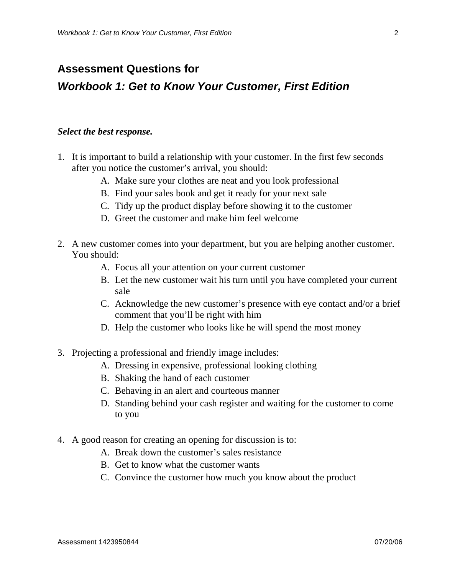### **Assessment Questions for**  *Workbook 1: Get to Know Your Customer, First Edition*

#### *Select the best response.*

- 1. It is important to build a relationship with your customer. In the first few seconds after you notice the customer's arrival, you should:
	- A. Make sure your clothes are neat and you look professional
	- B. Find your sales book and get it ready for your next sale
	- C. Tidy up the product display before showing it to the customer
	- D. Greet the customer and make him feel welcome
- 2. A new customer comes into your department, but you are helping another customer. You should:
	- A. Focus all your attention on your current customer
	- B. Let the new customer wait his turn until you have completed your current sale
	- C. Acknowledge the new customer's presence with eye contact and/or a brief comment that you'll be right with him
	- D. Help the customer who looks like he will spend the most money
- 3. Projecting a professional and friendly image includes:
	- A. Dressing in expensive, professional looking clothing
	- B. Shaking the hand of each customer
	- C. Behaving in an alert and courteous manner
	- D. Standing behind your cash register and waiting for the customer to come to you
- 4. A good reason for creating an opening for discussion is to:
	- A. Break down the customer's sales resistance
	- B. Get to know what the customer wants
	- C. Convince the customer how much you know about the product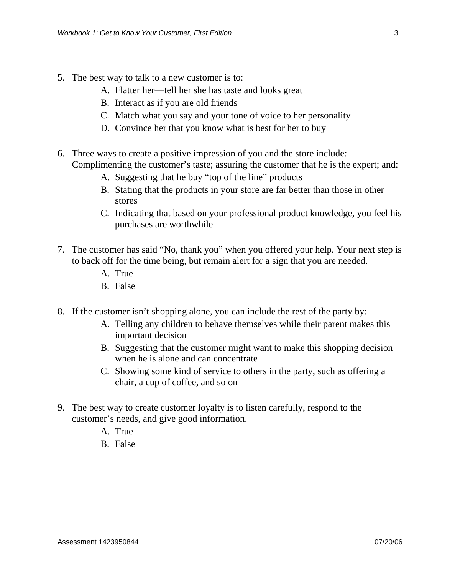- 5. The best way to talk to a new customer is to:
	- A. Flatter her—tell her she has taste and looks great
	- B. Interact as if you are old friends
	- C. Match what you say and your tone of voice to her personality
	- D. Convince her that you know what is best for her to buy
- 6. Three ways to create a positive impression of you and the store include: Complimenting the customer's taste; assuring the customer that he is the expert; and:
	- A. Suggesting that he buy "top of the line" products
	- B. Stating that the products in your store are far better than those in other stores
	- C. Indicating that based on your professional product knowledge, you feel his purchases are worthwhile
- 7. The customer has said "No, thank you" when you offered your help. Your next step is to back off for the time being, but remain alert for a sign that you are needed.
	- A. True
	- B. False
- 8. If the customer isn't shopping alone, you can include the rest of the party by:
	- A. Telling any children to behave themselves while their parent makes this important decision
	- B. Suggesting that the customer might want to make this shopping decision when he is alone and can concentrate
	- C. Showing some kind of service to others in the party, such as offering a chair, a cup of coffee, and so on
- 9. The best way to create customer loyalty is to listen carefully, respond to the customer's needs, and give good information.
	- A. True
	- B. False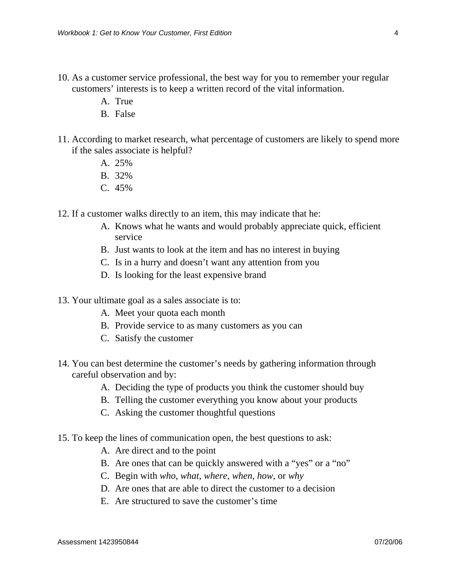- 10. As a customer service professional, the best way for you to remember your regular customers' interests is to keep a written record of the vital information.
	- A. True
	- B. False
- 11. According to market research, what percentage of customers are likely to spend more if the sales associate is helpful?
	- A. 25%
	- B. 32%
	- C. 45%
- 12. If a customer walks directly to an item, this may indicate that he:
	- A. Knows what he wants and would probably appreciate quick, efficient service
	- B. Just wants to look at the item and has no interest in buying
	- C. Is in a hurry and doesn't want any attention from you
	- D. Is looking for the least expensive brand
- 13. Your ultimate goal as a sales associate is to:
	- A. Meet your quota each month
	- B. Provide service to as many customers as you can
	- C. Satisfy the customer
- 14. You can best determine the customer's needs by gathering information through careful observation and by:
	- A. Deciding the type of products you think the customer should buy
	- B. Telling the customer everything you know about your products
	- C. Asking the customer thoughtful questions
- 15. To keep the lines of communication open, the best questions to ask:
	- A. Are direct and to the point
	- B. Are ones that can be quickly answered with a "yes" or a "no"
	- C. Begin with *who*, *what*, *where*, *when*, *how*, or *why*
	- D. Are ones that are able to direct the customer to a decision
	- E. Are structured to save the customer's time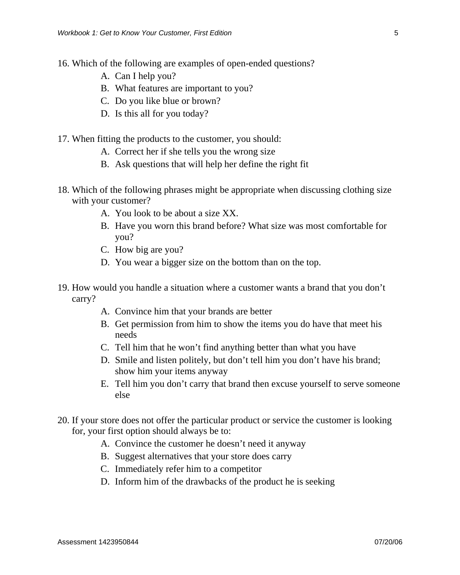- 16. Which of the following are examples of open-ended questions?
	- A. Can I help you?
	- B. What features are important to you?
	- C. Do you like blue or brown?
	- D. Is this all for you today?
- 17. When fitting the products to the customer, you should:
	- A. Correct her if she tells you the wrong size
	- B. Ask questions that will help her define the right fit
- 18. Which of the following phrases might be appropriate when discussing clothing size with your customer?
	- A. You look to be about a size XX.
	- B. Have you worn this brand before? What size was most comfortable for you?
	- C. How big are you?
	- D. You wear a bigger size on the bottom than on the top.
- 19. How would you handle a situation where a customer wants a brand that you don't carry?
	- A. Convince him that your brands are better
	- B. Get permission from him to show the items you do have that meet his needs
	- C. Tell him that he won't find anything better than what you have
	- D. Smile and listen politely, but don't tell him you don't have his brand; show him your items anyway
	- E. Tell him you don't carry that brand then excuse yourself to serve someone else
- 20. If your store does not offer the particular product or service the customer is looking for, your first option should always be to:
	- A. Convince the customer he doesn't need it anyway
	- B. Suggest alternatives that your store does carry
	- C. Immediately refer him to a competitor
	- D. Inform him of the drawbacks of the product he is seeking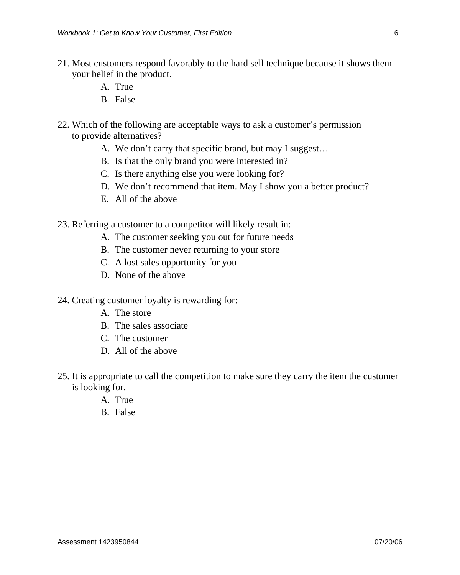- 21. Most customers respond favorably to the hard sell technique because it shows them your belief in the product.
	- A. True
	- B. False
- 22. Which of the following are acceptable ways to ask a customer's permission to provide alternatives?
	- A. We don't carry that specific brand, but may I suggest…
	- B. Is that the only brand you were interested in?
	- C. Is there anything else you were looking for?
	- D. We don't recommend that item. May I show you a better product?
	- E. All of the above
- 23. Referring a customer to a competitor will likely result in:
	- A. The customer seeking you out for future needs
	- B. The customer never returning to your store
	- C. A lost sales opportunity for you
	- D. None of the above
- 24. Creating customer loyalty is rewarding for:
	- A. The store
	- B. The sales associate
	- C. The customer
	- D. All of the above
- 25. It is appropriate to call the competition to make sure they carry the item the customer is looking for.
	- A. True
	- B. False